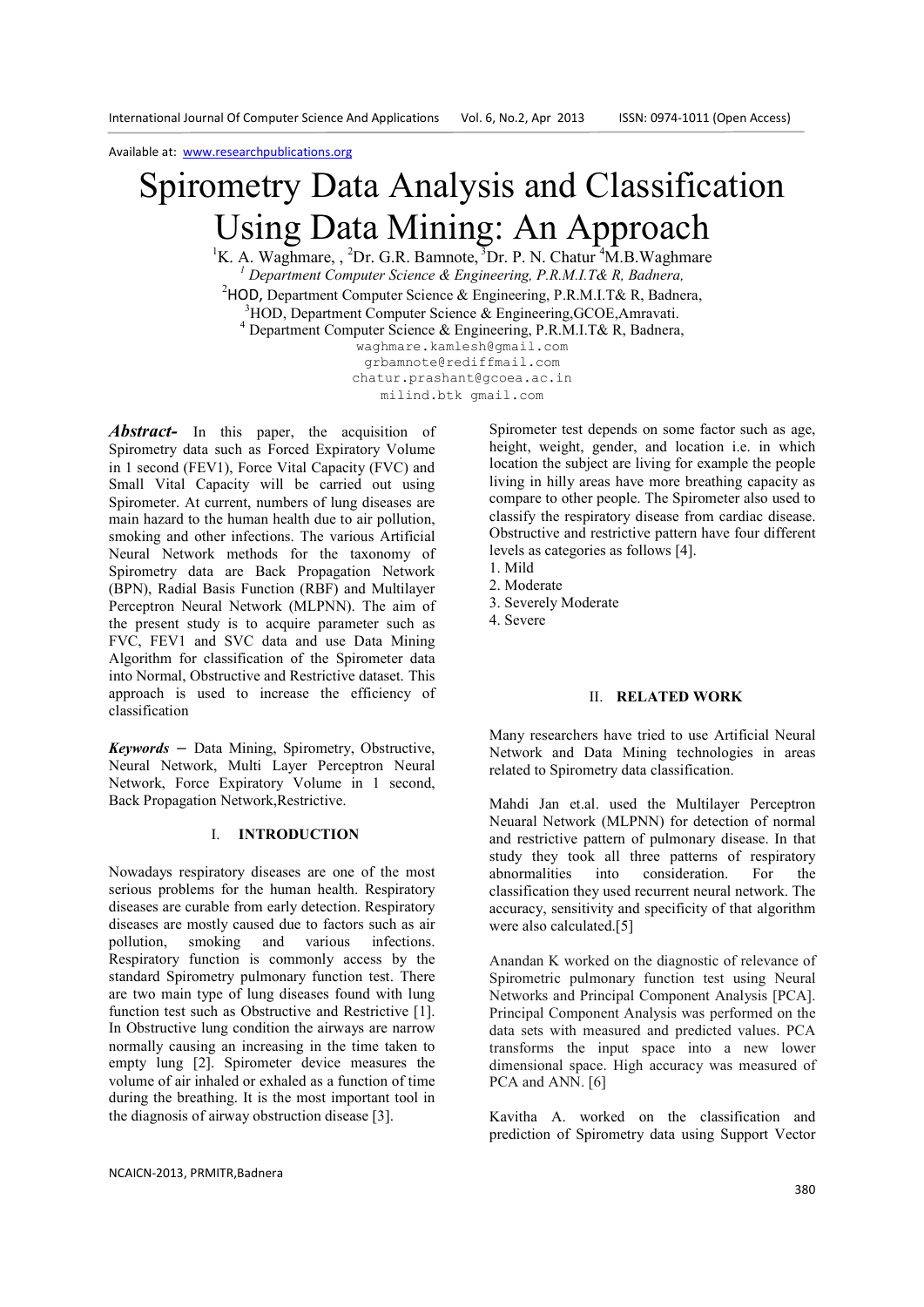Available at: www.researchpublications.org

# Spirometry Data Analysis and Classification Using Data Mining: An Approach

<sup>1</sup>K. A. Waghmare, , <sup>2</sup>Dr. G.R. Bamnote, <sup>3</sup>Dr. P. N. Chatur <sup>4</sup>M.B. Waghmare <sup>1</sup> Department Computer Science & Engineering, P.R.M.I.T& R, Badnera, <sup>2</sup>HOD, Department Computer Science & Engineering, P.R.M.I.T& R, Badnera,  $3HOD$ , Department Computer Science & Engineering, GCOE, Amravati. 4 Department Computer Science & Engineering, P.R.M.I.T& R, Badnera,

waghmare.kamlesh@gmail.com grbamnote@rediffmail.com chatur.prashant@gcoea.ac.in milind.btk gmail.com

Abstract- In this paper, the acquisition of Spirometry data such as Forced Expiratory Volume in 1 second (FEV1), Force Vital Capacity (FVC) and Small Vital Capacity will be carried out using Spirometer. At current, numbers of lung diseases are main hazard to the human health due to air pollution, smoking and other infections. The various Artificial Neural Network methods for the taxonomy of Spirometry data are Back Propagation Network (BPN), Radial Basis Function (RBF) and Multilayer Perceptron Neural Network (MLPNN). The aim of the present study is to acquire parameter such as FVC, FEV1 and SVC data and use Data Mining Algorithm for classification of the Spirometer data into Normal, Obstructive and Restrictive dataset. This approach is used to increase the efficiency of classification

*Keywords* **–** Data Mining, Spirometry, Obstructive, Neural Network, Multi Layer Perceptron Neural Network, Force Expiratory Volume in 1 second, Back Propagation Network,Restrictive.

# I. **INTRODUCTION**

Nowadays respiratory diseases are one of the most serious problems for the human health. Respiratory diseases are curable from early detection. Respiratory diseases are mostly caused due to factors such as air pollution, smoking and various infections. Respiratory function is commonly access by the standard Spirometry pulmonary function test. There are two main type of lung diseases found with lung function test such as Obstructive and Restrictive [1]. In Obstructive lung condition the airways are narrow normally causing an increasing in the time taken to empty lung [2]. Spirometer device measures the volume of air inhaled or exhaled as a function of time during the breathing. It is the most important tool in the diagnosis of airway obstruction disease [3].

Spirometer test depends on some factor such as age, height, weight, gender, and location i.e. in which location the subject are living for example the people living in hilly areas have more breathing capacity as compare to other people. The Spirometer also used to classify the respiratory disease from cardiac disease. Obstructive and restrictive pattern have four different levels as categories as follows [4].

- 2. Moderate
- 3. Severely Moderate
- 4. Severe

#### II. **RELATED WORK**

Many researchers have tried to use Artificial Neural Network and Data Mining technologies in areas related to Spirometry data classification.

Mahdi Jan et.al. used the Multilayer Perceptron Neuaral Network (MLPNN) for detection of normal and restrictive pattern of pulmonary disease. In that study they took all three patterns of respiratory abnormalities into consideration. For the classification they used recurrent neural network. The accuracy, sensitivity and specificity of that algorithm were also calculated.[5]

Anandan K worked on the diagnostic of relevance of Spirometric pulmonary function test using Neural Networks and Principal Component Analysis [PCA]. Principal Component Analysis was performed on the data sets with measured and predicted values. PCA transforms the input space into a new lower dimensional space. High accuracy was measured of PCA and ANN. [6]

Kavitha A. worked on the classification and prediction of Spirometry data using Support Vector

<sup>1.</sup> Mild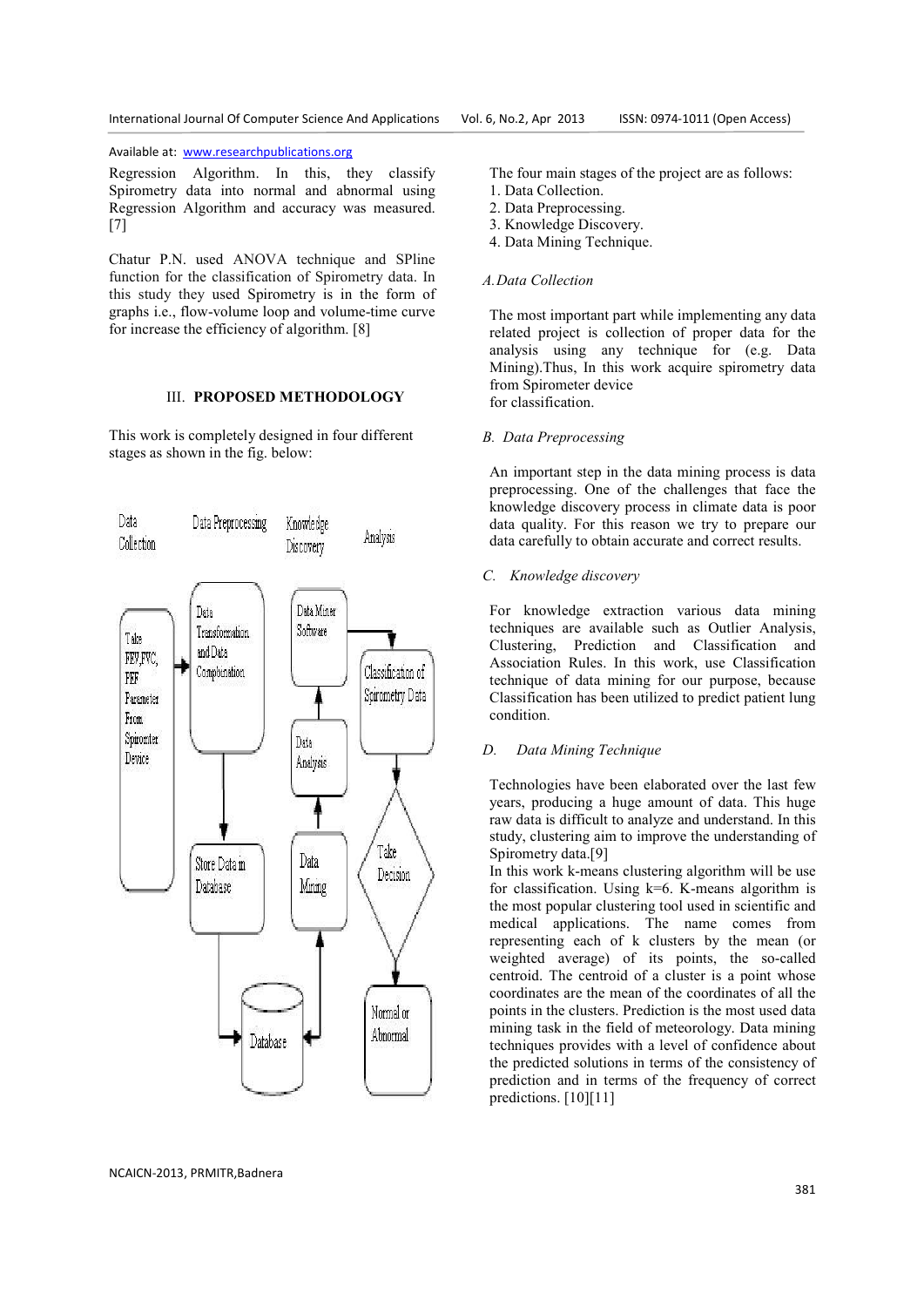Available at: www.researchpublications.org

Regression Algorithm. In this, they classify Spirometry data into normal and abnormal using Regression Algorithm and accuracy was measured. [7]

Chatur P.N. used ANOVA technique and SPline function for the classification of Spirometry data. In this study they used Spirometry is in the form of graphs i.e., flow-volume loop and volume-time curve for increase the efficiency of algorithm. [8]

# III. **PROPOSED METHODOLOGY**

This work is completely designed in four different stages as shown in the fig. below:



The four main stages of the project are as follows:

- 1. Data Collection.
- 2. Data Preprocessing.
- 3. Knowledge Discovery.
- 4. Data Mining Technique.

# *A.Data Collection*

The most important part while implementing any data related project is collection of proper data for the analysis using any technique for (e.g. Data Mining).Thus, In this work acquire spirometry data from Spirometer device for classification.

## *B. Data Preprocessing*

An important step in the data mining process is data preprocessing. One of the challenges that face the knowledge discovery process in climate data is poor data quality. For this reason we try to prepare our data carefully to obtain accurate and correct results.

### *C. Knowledge discovery*

For knowledge extraction various data mining techniques are available such as Outlier Analysis, Clustering, Prediction and Classification and Association Rules. In this work, use Classification technique of data mining for our purpose, because Classification has been utilized to predict patient lung condition.

## *D. Data Mining Technique*

Technologies have been elaborated over the last few years, producing a huge amount of data. This huge raw data is difficult to analyze and understand. In this study, clustering aim to improve the understanding of Spirometry data.[9]

In this work k-means clustering algorithm will be use for classification. Using  $k=6$ . K-means algorithm is the most popular clustering tool used in scientific and medical applications. The name comes from representing each of k clusters by the mean (or weighted average) of its points, the so-called centroid. The centroid of a cluster is a point whose coordinates are the mean of the coordinates of all the points in the clusters. Prediction is the most used data mining task in the field of meteorology. Data mining techniques provides with a level of confidence about the predicted solutions in terms of the consistency of prediction and in terms of the frequency of correct predictions. [10][11]